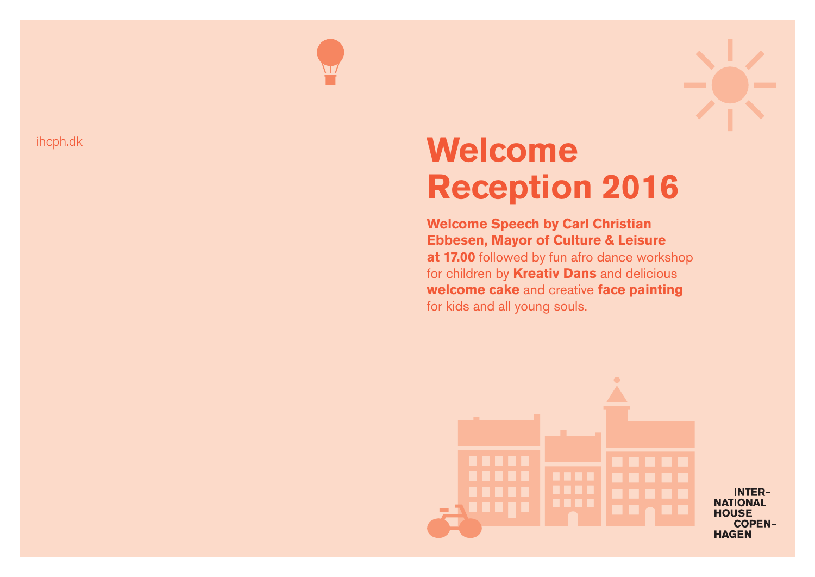**Welcome** 

# **Reception 2016 Welcome Speech by Carl Christian Ebbesen, Mayor of Culture & Leisure**

**at 17.00** followed by fun afro dance workshop for children by **Kreativ Dans** and delicious **welcome cake** and creative **face painting** for kids and all young souls.









# ihcph.dk